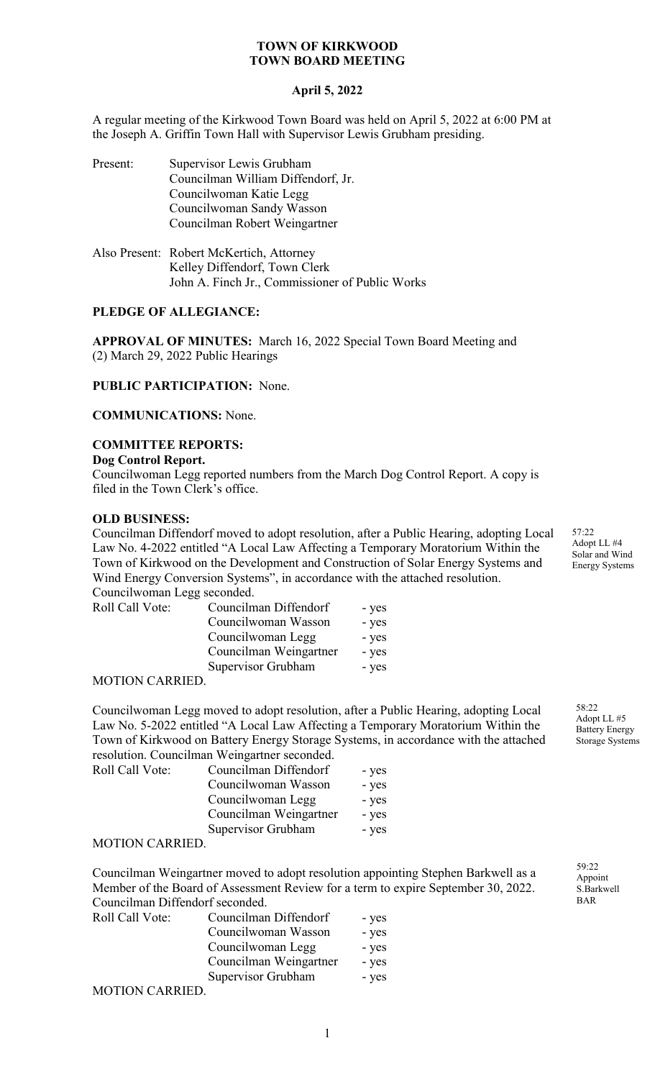## **April 5, 2022**

A regular meeting of the Kirkwood Town Board was held on April 5, 2022 at 6:00 PM at the Joseph A. Griffin Town Hall with Supervisor Lewis Grubham presiding.

| Present: | Supervisor Lewis Grubham<br>Councilman William Diffendorf, Jr.<br>Councilwoman Katie Legg<br>Councilwoman Sandy Wasson<br>Councilman Robert Weingartner |
|----------|---------------------------------------------------------------------------------------------------------------------------------------------------------|
|          | Also Present: Robert McKertich, Attorney<br>Kalley Diffendorf Town Clerk                                                                                |

Kelley Diffendorf, Town Clerk John A. Finch Jr., Commissioner of Public Works

## **PLEDGE OF ALLEGIANCE:**

**APPROVAL OF MINUTES:** March 16, 2022 Special Town Board Meeting and (2) March 29, 2022 Public Hearings

**PUBLIC PARTICIPATION:** None.

**COMMUNICATIONS:** None.

# **COMMITTEE REPORTS:**

#### **Dog Control Report.**

Councilwoman Legg reported numbers from the March Dog Control Report. A copy is filed in the Town Clerk's office.

## **OLD BUSINESS:**

Councilman Diffendorf moved to adopt resolution, after a Public Hearing, adopting Local Law No. 4-2022 entitled "A Local Law Affecting a Temporary Moratorium Within the Town of Kirkwood on the Development and Construction of Solar Energy Systems and Wind Energy Conversion Systems", in accordance with the attached resolution.  $Convolution<sub>1</sub>$  Legg second

| Councilwonian Legg seconded. |                        |       |
|------------------------------|------------------------|-------|
| Roll Call Vote:              | Councilman Diffendorf  | - yes |
|                              | Councilwoman Wasson    | - yes |
|                              | Councilwoman Legg      | - yes |
|                              | Councilman Weingartner | - yes |
|                              | Supervisor Grubham     | - yes |

#### MOTION CARRIED.

Councilwoman Legg moved to adopt resolution, after a Public Hearing, adopting Local Law No. 5-2022 entitled "A Local Law Affecting a Temporary Moratorium Within the Town of Kirkwood on Battery Energy Storage Systems, in accordance with the attached resolution. Councilman Weingartner seconded.

| Roll Call Vote: | Councilman Diffendorf  | - yes |
|-----------------|------------------------|-------|
|                 | Councilwoman Wasson    | - yes |
|                 | Councilwoman Legg      | - yes |
|                 | Councilman Weingartner | - yes |
|                 | Supervisor Grubham     | - yes |
|                 |                        |       |

## MOTION CARRIED.

Councilman Weingartner moved to adopt resolution appointing Stephen Barkwell as a Member of the Board of Assessment Review for a term to expire September 30, 2022. Councilman Diffendorf seconded.

| Roll Call Vote: | Councilman Diffendorf  | - yes |
|-----------------|------------------------|-------|
|                 | Councilwoman Wasson    | - yes |
|                 | Councilwoman Legg      | - yes |
|                 | Councilman Weingartner | - yes |
|                 | Supervisor Grubham     | - yes |
| MOTION CADDIED  |                        |       |

MOTION CARRIED.

57:22 Adopt LL #4 Solar and Wind Energy Systems

58:22 Adopt LL #5 Battery Energy Storage Systems

59:22 Appoint S.Barkwell BAR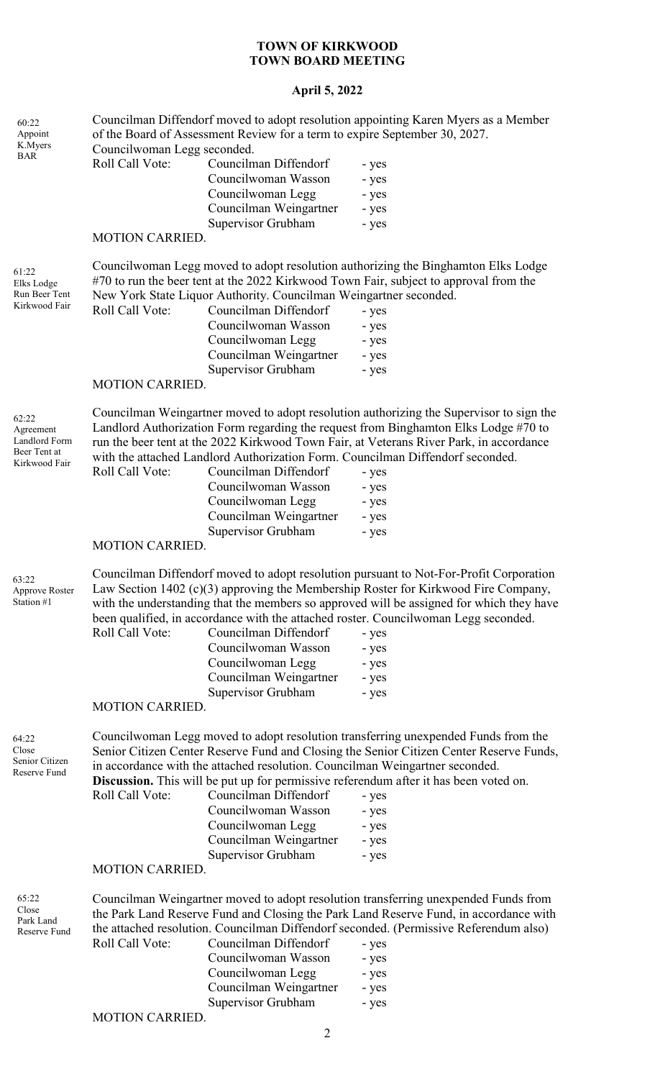# **April 5, 2022**

| 60:22<br>Appoint<br>K.Myers                                          | Councilwoman Legg seconded.        | of the Board of Assessment Review for a term to expire September 30, 2027.                                        | Councilman Diffendorf moved to adopt resolution appointing Karen Myers as a Member                                                                                                                                                                                                                                                                                                                           |
|----------------------------------------------------------------------|------------------------------------|-------------------------------------------------------------------------------------------------------------------|--------------------------------------------------------------------------------------------------------------------------------------------------------------------------------------------------------------------------------------------------------------------------------------------------------------------------------------------------------------------------------------------------------------|
| <b>BAR</b>                                                           | Roll Call Vote:                    | Councilman Diffendorf                                                                                             | - yes                                                                                                                                                                                                                                                                                                                                                                                                        |
|                                                                      |                                    | Councilwoman Wasson                                                                                               | - yes                                                                                                                                                                                                                                                                                                                                                                                                        |
|                                                                      |                                    | Councilwoman Legg                                                                                                 | - yes                                                                                                                                                                                                                                                                                                                                                                                                        |
|                                                                      |                                    | Councilman Weingartner                                                                                            | - yes                                                                                                                                                                                                                                                                                                                                                                                                        |
|                                                                      |                                    | Supervisor Grubham                                                                                                | - yes                                                                                                                                                                                                                                                                                                                                                                                                        |
|                                                                      | <b>MOTION CARRIED.</b>             |                                                                                                                   |                                                                                                                                                                                                                                                                                                                                                                                                              |
| 61:22<br>Elks Lodge                                                  |                                    |                                                                                                                   | Councilwoman Legg moved to adopt resolution authorizing the Binghamton Elks Lodge<br>#70 to run the beer tent at the 2022 Kirkwood Town Fair, subject to approval from the                                                                                                                                                                                                                                   |
| Run Beer Tent<br>Kirkwood Fair                                       |                                    | New York State Liquor Authority. Councilman Weingartner seconded.                                                 |                                                                                                                                                                                                                                                                                                                                                                                                              |
|                                                                      | Roll Call Vote:                    | Councilman Diffendorf                                                                                             | - yes                                                                                                                                                                                                                                                                                                                                                                                                        |
|                                                                      |                                    | Councilwoman Wasson                                                                                               | - yes                                                                                                                                                                                                                                                                                                                                                                                                        |
|                                                                      |                                    | Councilwoman Legg                                                                                                 | - yes                                                                                                                                                                                                                                                                                                                                                                                                        |
|                                                                      |                                    | Councilman Weingartner                                                                                            | - yes                                                                                                                                                                                                                                                                                                                                                                                                        |
|                                                                      |                                    | Supervisor Grubham                                                                                                | - yes                                                                                                                                                                                                                                                                                                                                                                                                        |
|                                                                      | <b>MOTION CARRIED.</b>             |                                                                                                                   |                                                                                                                                                                                                                                                                                                                                                                                                              |
| 62:22<br>Agreement<br>Landlord Form<br>Beer Tent at<br>Kirkwood Fair | Roll Call Vote:                    | Councilman Diffendorf<br>Councilwoman Wasson<br>Councilwoman Legg<br>Councilman Weingartner                       | Councilman Weingartner moved to adopt resolution authorizing the Supervisor to sign the<br>Landlord Authorization Form regarding the request from Binghamton Elks Lodge #70 to<br>run the beer tent at the 2022 Kirkwood Town Fair, at Veterans River Park, in accordance<br>with the attached Landlord Authorization Form. Councilman Diffendorf seconded.<br>- yes<br>- yes<br>- yes<br>- yes              |
|                                                                      |                                    | Supervisor Grubham                                                                                                | - yes                                                                                                                                                                                                                                                                                                                                                                                                        |
|                                                                      | <b>MOTION CARRIED.</b>             |                                                                                                                   |                                                                                                                                                                                                                                                                                                                                                                                                              |
| 63:22<br>Approve Roster<br>Station #1                                | Roll Call Vote:<br>MOTION CARRIED. | Councilman Diffendorf<br>Councilwoman Wasson<br>Councilwoman Legg<br>Councilman Weingartner<br>Supervisor Grubham | Councilman Diffendorf moved to adopt resolution pursuant to Not-For-Profit Corporation<br>Law Section 1402 (c)(3) approving the Membership Roster for Kirkwood Fire Company,<br>with the understanding that the members so approved will be assigned for which they have<br>been qualified, in accordance with the attached roster. Councilwoman Legg seconded.<br>- yes<br>- yes<br>- yes<br>- yes<br>- yes |
| 64:22<br>Close                                                       |                                    |                                                                                                                   | Councilwoman Legg moved to adopt resolution transferring unexpended Funds from the<br>Senior Citizen Center Reserve Fund and Closing the Senior Citizen Center Reserve Funds,                                                                                                                                                                                                                                |
| Senior Citizen<br>Reserve Fund                                       | Roll Call Vote:                    | Councilman Diffendorf<br>Councilwoman Wasson<br>Councilwoman Legg<br>Councilman Weingartner<br>Supervisor Grubham | in accordance with the attached resolution. Councilman Weingartner seconded.<br><b>Discussion.</b> This will be put up for permissive referendum after it has been voted on.<br>- yes<br>- yes<br>- yes<br>- yes<br>- yes                                                                                                                                                                                    |
|                                                                      | <b>MOTION CARRIED.</b>             |                                                                                                                   |                                                                                                                                                                                                                                                                                                                                                                                                              |
| 65:22<br>Close<br>Park Land<br>Reserve Fund                          |                                    |                                                                                                                   | Councilman Weingartner moved to adopt resolution transferring unexpended Funds from<br>the Park Land Reserve Fund and Closing the Park Land Reserve Fund, in accordance with<br>the attached resolution. Councilman Diffendorf seconded. (Permissive Referendum also)                                                                                                                                        |
|                                                                      | Roll Call Vote:                    | Councilman Diffendorf                                                                                             | - yes                                                                                                                                                                                                                                                                                                                                                                                                        |
|                                                                      |                                    | Councilwoman Wasson                                                                                               | - yes                                                                                                                                                                                                                                                                                                                                                                                                        |
|                                                                      |                                    | Councilwoman Legg                                                                                                 | - yes                                                                                                                                                                                                                                                                                                                                                                                                        |
|                                                                      |                                    | Councilman Weingartner                                                                                            | - yes                                                                                                                                                                                                                                                                                                                                                                                                        |
|                                                                      |                                    | Supervisor Grubham                                                                                                | - yes                                                                                                                                                                                                                                                                                                                                                                                                        |
|                                                                      | <b>MOTION CARRIED.</b>             |                                                                                                                   |                                                                                                                                                                                                                                                                                                                                                                                                              |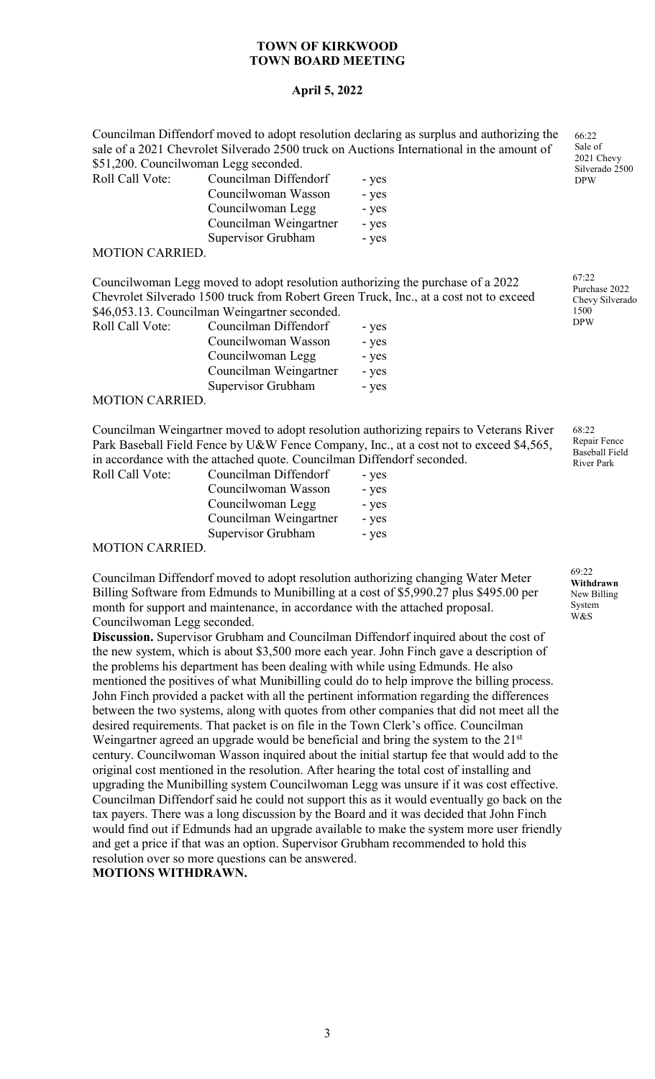## **April 5, 2022**

Councilman Diffendorf moved to adopt resolution declaring as surplus and authorizing the sale of a 2021 Chevrolet Silverado 2500 truck on Auctions International in the amount of \$51,200. Councilwoman Legg seconded.

| Roll Call Vote: | Councilman Diffendorf  | - yes |
|-----------------|------------------------|-------|
|                 | Councilwoman Wasson    | - yes |
|                 | Councilwoman Legg      | - yes |
|                 | Councilman Weingartner | - yes |
|                 | Supervisor Grubham     | - yes |
|                 |                        |       |

#### MOTION CARRIED.

Councilwoman Legg moved to adopt resolution authorizing the purchase of a 2022 Chevrolet Silverado 1500 truck from Robert Green Truck, Inc., at a cost not to exceed \$46,053.13. Councilman Weingartner seconded.

| Councilman Diffendorf  | - yes |
|------------------------|-------|
| Councilwoman Wasson    | - yes |
| Councilwoman Legg      | - yes |
| Councilman Weingartner | - yes |
| Supervisor Grubham     | - yes |
|                        |       |

#### MOTION CARRIED.

Councilman Weingartner moved to adopt resolution authorizing repairs to Veterans River Park Baseball Field Fence by U&W Fence Company, Inc., at a cost not to exceed \$4,565, in accordance with the attached quote. Councilman Diffendorf seconded. Roll Call Vo

| ote:       | Councilman Diffendorf  | - yes |
|------------|------------------------|-------|
|            | Councilwoman Wasson    | - yes |
|            | Councilwoman Legg      | - yes |
|            | Councilman Weingartner | - yes |
|            | Supervisor Grubham     | - yes |
| A D D IE D |                        |       |

## MOTION CARRIED.

Councilman Diffendorf moved to adopt resolution authorizing changing Water Meter Billing Software from Edmunds to Munibilling at a cost of \$5,990.27 plus \$495.00 per month for support and maintenance, in accordance with the attached proposal. Councilwoman Legg seconded.

**Discussion.** Supervisor Grubham and Councilman Diffendorf inquired about the cost of the new system, which is about \$3,500 more each year. John Finch gave a description of the problems his department has been dealing with while using Edmunds. He also mentioned the positives of what Munibilling could do to help improve the billing process. John Finch provided a packet with all the pertinent information regarding the differences between the two systems, along with quotes from other companies that did not meet all the desired requirements. That packet is on file in the Town Clerk's office. Councilman Weingartner agreed an upgrade would be beneficial and bring the system to the  $21<sup>st</sup>$ century. Councilwoman Wasson inquired about the initial startup fee that would add to the original cost mentioned in the resolution. After hearing the total cost of installing and upgrading the Munibilling system Councilwoman Legg was unsure if it was cost effective. Councilman Diffendorf said he could not support this as it would eventually go back on the tax payers. There was a long discussion by the Board and it was decided that John Finch would find out if Edmunds had an upgrade available to make the system more user friendly and get a price if that was an option. Supervisor Grubham recommended to hold this resolution over so more questions can be answered.

#### **MOTIONS WITHDRAWN.**

66:22 Sale of 2021 Chevy Silverado 2500 DPW

67:22 Purchase 2022 Chevy Silverado 1500 DPW

68:22 Repair Fence Baseball Field River Park

69:22 **Withdrawn** New Billing System W&S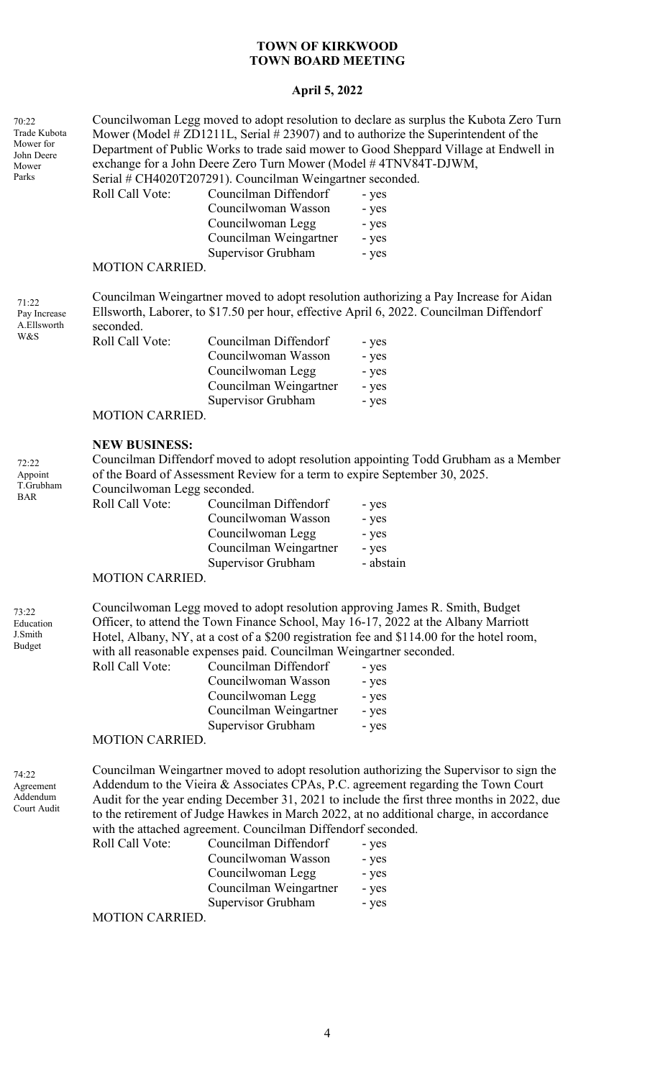## **April 5, 2022**

| 70:22<br>Trade Kubota<br>Mower for<br>John Deere<br>Mower<br>Parks | Roll Call Vote:                                                                                                                                                                               | exchange for a John Deere Zero Turn Mower (Model #4TNV84T-DJWM,<br>Serial # CH4020T207291). Councilman Weingartner seconded.<br>Councilman Diffendorf<br>Councilwoman Wasson<br>Councilwoman Legg<br>Councilman Weingartner | Councilwoman Legg moved to adopt resolution to declare as surplus the Kubota Zero Turn<br>Mower (Model # ZD1211L, Serial # 23907) and to authorize the Superintendent of the<br>Department of Public Works to trade said mower to Good Sheppard Village at Endwell in<br>- yes<br>- yes<br>- yes<br>- yes                                                                                                          |  |
|--------------------------------------------------------------------|-----------------------------------------------------------------------------------------------------------------------------------------------------------------------------------------------|-----------------------------------------------------------------------------------------------------------------------------------------------------------------------------------------------------------------------------|--------------------------------------------------------------------------------------------------------------------------------------------------------------------------------------------------------------------------------------------------------------------------------------------------------------------------------------------------------------------------------------------------------------------|--|
|                                                                    | <b>MOTION CARRIED.</b>                                                                                                                                                                        | Supervisor Grubham                                                                                                                                                                                                          | - yes                                                                                                                                                                                                                                                                                                                                                                                                              |  |
| 71:22<br>Pay Increase<br>A.Ellsworth                               | Councilman Weingartner moved to adopt resolution authorizing a Pay Increase for Aidan<br>Ellsworth, Laborer, to \$17.50 per hour, effective April 6, 2022. Councilman Diffendorf<br>seconded. |                                                                                                                                                                                                                             |                                                                                                                                                                                                                                                                                                                                                                                                                    |  |
| W&S                                                                | Roll Call Vote:                                                                                                                                                                               | Councilman Diffendorf<br>Councilwoman Wasson<br>Councilwoman Legg<br>Councilman Weingartner<br>Supervisor Grubham                                                                                                           | - yes<br>- yes<br>- yes<br>- yes<br>- yes                                                                                                                                                                                                                                                                                                                                                                          |  |
|                                                                    | <b>MOTION CARRIED.</b>                                                                                                                                                                        |                                                                                                                                                                                                                             |                                                                                                                                                                                                                                                                                                                                                                                                                    |  |
| 72:22<br>Appoint<br>T.Grubham<br><b>BAR</b>                        | <b>NEW BUSINESS:</b><br>Councilwoman Legg seconded.<br>Roll Call Vote:                                                                                                                        | of the Board of Assessment Review for a term to expire September 30, 2025.<br>Councilman Diffendorf<br>Councilwoman Wasson<br>Councilwoman Legg<br>Councilman Weingartner<br>Supervisor Grubham                             | Councilman Diffendorf moved to adopt resolution appointing Todd Grubham as a Member<br>- yes<br>- yes<br>- yes<br>- yes<br>- abstain                                                                                                                                                                                                                                                                               |  |
|                                                                    | <b>MOTION CARRIED.</b>                                                                                                                                                                        |                                                                                                                                                                                                                             |                                                                                                                                                                                                                                                                                                                                                                                                                    |  |
| 73:22<br>Education<br>J.Smith<br>Budget                            | Roll Call Vote:<br><b>MOTION CARRIED.</b>                                                                                                                                                     | with all reasonable expenses paid. Councilman Weingartner seconded.<br>Councilman Diffendorf<br>Councilwoman Wasson<br>Councilwoman Legg<br>Councilman Weingartner<br>Supervisor Grubham                                    | Councilwoman Legg moved to adopt resolution approving James R. Smith, Budget<br>Officer, to attend the Town Finance School, May 16-17, 2022 at the Albany Marriott<br>Hotel, Albany, NY, at a cost of a \$200 registration fee and \$114.00 for the hotel room,<br>- yes<br>- yes<br>- yes<br>- yes<br>- yes                                                                                                       |  |
| 74:22<br>Agreement<br>Addendum<br>Court Audit                      | Roll Call Vote:<br><b>MOTION CARRIED.</b>                                                                                                                                                     | with the attached agreement. Councilman Diffendorf seconded.<br>Councilman Diffendorf<br>Councilwoman Wasson<br>Councilwoman Legg<br>Councilman Weingartner<br>Supervisor Grubham                                           | Councilman Weingartner moved to adopt resolution authorizing the Supervisor to sign the<br>Addendum to the Vieira & Associates CPAs, P.C. agreement regarding the Town Court<br>Audit for the year ending December 31, 2021 to include the first three months in 2022, due<br>to the retirement of Judge Hawkes in March 2022, at no additional charge, in accordance<br>- yes<br>- yes<br>- yes<br>- yes<br>- yes |  |
|                                                                    |                                                                                                                                                                                               |                                                                                                                                                                                                                             |                                                                                                                                                                                                                                                                                                                                                                                                                    |  |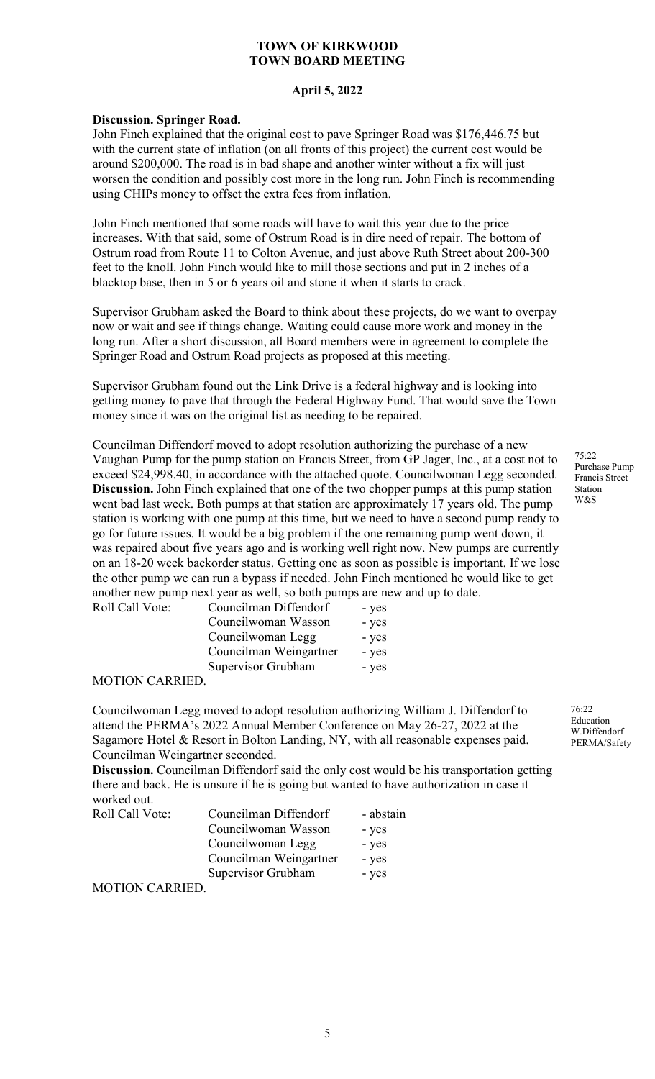#### **April 5, 2022**

#### **Discussion. Springer Road.**

John Finch explained that the original cost to pave Springer Road was \$176,446.75 but with the current state of inflation (on all fronts of this project) the current cost would be around \$200,000. The road is in bad shape and another winter without a fix will just worsen the condition and possibly cost more in the long run. John Finch is recommending using CHIPs money to offset the extra fees from inflation.

John Finch mentioned that some roads will have to wait this year due to the price increases. With that said, some of Ostrum Road is in dire need of repair. The bottom of Ostrum road from Route 11 to Colton Avenue, and just above Ruth Street about 200-300 feet to the knoll. John Finch would like to mill those sections and put in 2 inches of a blacktop base, then in 5 or 6 years oil and stone it when it starts to crack.

Supervisor Grubham asked the Board to think about these projects, do we want to overpay now or wait and see if things change. Waiting could cause more work and money in the long run. After a short discussion, all Board members were in agreement to complete the Springer Road and Ostrum Road projects as proposed at this meeting.

Supervisor Grubham found out the Link Drive is a federal highway and is looking into getting money to pave that through the Federal Highway Fund. That would save the Town money since it was on the original list as needing to be repaired.

Councilman Diffendorf moved to adopt resolution authorizing the purchase of a new Vaughan Pump for the pump station on Francis Street, from GP Jager, Inc., at a cost not to exceed \$24,998.40, in accordance with the attached quote. Councilwoman Legg seconded. **Discussion.** John Finch explained that one of the two chopper pumps at this pump station went bad last week. Both pumps at that station are approximately 17 years old. The pump station is working with one pump at this time, but we need to have a second pump ready to go for future issues. It would be a big problem if the one remaining pump went down, it was repaired about five years ago and is working well right now. New pumps are currently on an 18-20 week backorder status. Getting one as soon as possible is important. If we lose the other pump we can run a bypass if needed. John Finch mentioned he would like to get another new pump next year as well, so both pumps are new and up to date.

| Councilman Diffendorf  | - yes |
|------------------------|-------|
| Councilwoman Wasson    | - yes |
| Councilwoman Legg      | - yes |
| Councilman Weingartner | - yes |
| Supervisor Grubham     | - yes |
|                        |       |

#### MOTION CARRIED.

Roll Call Vote:

Councilwoman Legg moved to adopt resolution authorizing William J. Diffendorf to attend the PERMA's 2022 Annual Member Conference on May 26-27, 2022 at the Sagamore Hotel & Resort in Bolton Landing, NY, with all reasonable expenses paid. Councilman Weingartner seconded.

**Discussion.** Councilman Diffendorf said the only cost would be his transportation getting there and back. He is unsure if he is going but wanted to have authorization in case it worked out.

| Roll Call Vote: | Councilman Diffendorf  | - abstain |
|-----------------|------------------------|-----------|
|                 | Councilwoman Wasson    | - yes     |
|                 | Councilwoman Legg      | - yes     |
|                 | Councilman Weingartner | - yes     |
|                 | Supervisor Grubham     | - yes     |
| MOTION CARRIED  |                        |           |

MOTION CARRIED.

75:22 Purchase Pump Francis Street Station W&S

76:22 Education W.Diffendorf PERMA/Safety